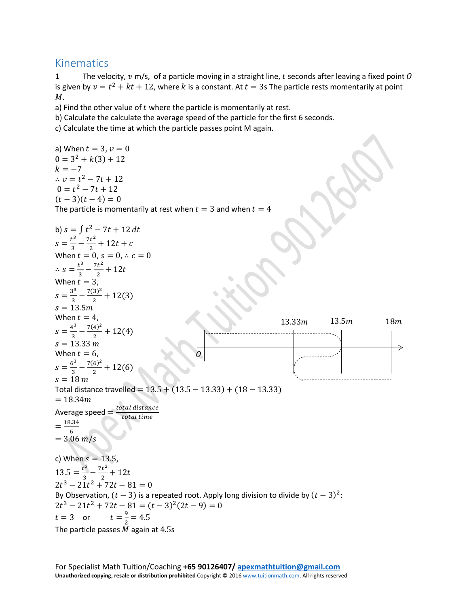## Kinematics

1 The velocity,  $v$  m/s, of a particle moving in a straight line,  $t$  seconds after leaving a fixed point  $0$ is given by  $v = t^2 + kt + 12$ , where k is a constant. At  $t = 3$ s The particle rests momentarily at point  $M$ .

a) Find the other value of  $t$  where the particle is momentarily at rest.

b) Calculate the calculate the average speed of the particle for the first 6 seconds.

c) Calculate the time at which the particle passes point M again.

a) When  $t = 3$ ,  $v = 0$  $0 = 3^2 + k(3) + 12$  $k = -7$ ∴  $v = t^2 - 7t + 12$  $0 = t^2 - 7t + 12$  $(t-3)(t-4) = 0$ The particle is momentarily at rest when  $t = 3$  and when  $t = 4$ b)  $s = \int t^2 - 7t + 12 dt$  $s = \frac{t^3}{3} - \frac{7t^2}{2} + 12t + c$ When  $t = 0$ ,  $s = 0, \div c = 0$ ∴  $s = \frac{t^3}{3} - \frac{7t^2}{2} + 12$ When  $t$ :  $s = \frac{3^3}{3} - \frac{7(3)^2}{2} + 12(3)$  $s = 13.5m$ When  $t = 4$ .  $s = \frac{4^3}{3} - \frac{7(4)^2}{2} + 12(4)$  $s = 13.33 \text{ m}$ When  $t = 6$ ,  $s = \frac{6^3}{3} - \frac{7(6)^2}{2} + 12(6)$  $s = 18 m$ Total distance travelled =  $13.5 + (13.5 - 13.33) + (18 - 13.33)$  $= 18.34m$ Average speed  $=\frac{total\ distance}{total\ time}$  $=\frac{18.34}{6}$  $= 3.06 \, m/s$ c) When  $s = 13.5$ ,  $13.5 = \frac{t^3}{3} - \frac{7t^2}{2} + 12$  $2t^3 - 21t^2 + 72t - 81 = 0$ By Observation,  $(t-3)$  is a repeated root. Apply long division to divide by  $(t-3)^2$ :  $2t^3 - 21t^2 + 72t - 81 = (t - 3)^2(2t - 9) = 0$  $t = \frac{9}{2} = 4.5$ The particle passes  $M$  again at 4.5s  $13.33 m$   $13.5 m$   $18 m$  $\overline{0}$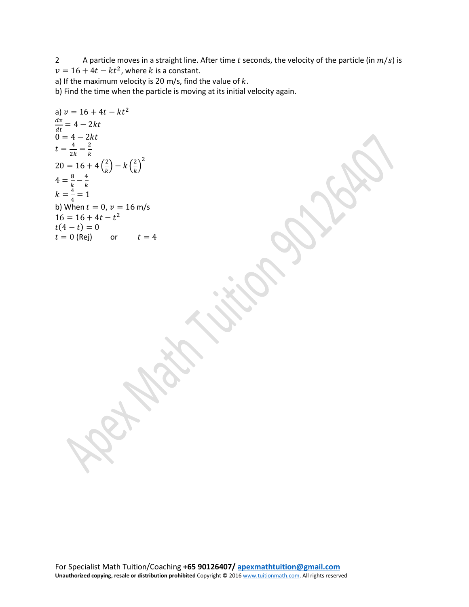2 A particle moves in a straight line. After time t seconds, the velocity of the particle (in  $m/s$ ) is  $v = 16 + 4t - kt^2$ , where k is a constant.

a) If the maximum velocity is 20 m/s, find the value of  $k$ .

b) Find the time when the particle is moving at its initial velocity again.

a) 
$$
v = 16 + 4t - kt^2
$$
  
\n
$$
\frac{dv}{dt} = 4 - 2kt
$$
\n
$$
0 = 4 - 2kt
$$
\n
$$
t = \frac{4}{2k} = \frac{2}{k}
$$
\n
$$
20 = 16 + 4\left(\frac{2}{k}\right) - k\left(\frac{2}{k}\right)^2
$$
\n
$$
4 = \frac{8}{k} - \frac{4}{k}
$$
\n
$$
k = \frac{4}{4} = 1
$$
\n
$$
k = 16 + 4t - t^2
$$
\n
$$
t(4 - t) = 0
$$
\n
$$
t = 0 \text{ (Rej)} \qquad \text{or} \qquad t = 4
$$